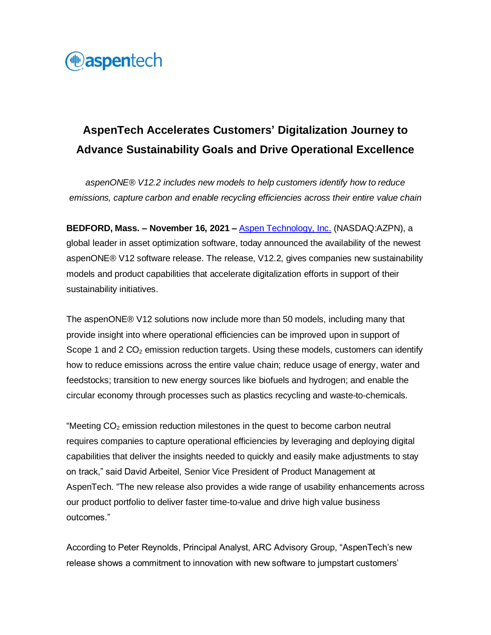

## **AspenTech Accelerates Customers' Digitalization Journey to Advance Sustainability Goals and Drive Operational Excellence**

*aspenONE® V12.2 includes new models to help customers identify how to reduce emissions, capture carbon and enable recycling efficiencies across their entire value chain*

**BEDFORD, Mass. – November 16, 2021 –** [Aspen Technology, Inc.](http://www.aspentech.com/) (NASDAQ:AZPN), a global leader in asset optimization software, today announced the availability of the newest aspenONE® V12 software release. The release, V12.2, gives companies new sustainability models and product capabilities that accelerate digitalization efforts in support of their sustainability initiatives.

The aspenONE® V12 solutions now include more than 50 models, including many that provide insight into where operational efficiencies can be improved upon in support of Scope 1 and 2  $CO<sub>2</sub>$  emission reduction targets. Using these models, customers can identify how to reduce emissions across the entire value chain; reduce usage of energy, water and feedstocks; transition to new energy sources like biofuels and hydrogen; and enable the circular economy through processes such as plastics recycling and waste-to-chemicals.

"Meeting  $CO<sub>2</sub>$  emission reduction milestones in the quest to become carbon neutral requires companies to capture operational efficiencies by leveraging and deploying digital capabilities that deliver the insights needed to quickly and easily make adjustments to stay on track," said David Arbeitel, Senior Vice President of Product Management at AspenTech. "The new release also provides a wide range of usability enhancements across our product portfolio to deliver faster time-to-value and drive high value business outcomes."

According to Peter Reynolds, Principal Analyst, ARC Advisory Group, "AspenTech's new release shows a commitment to innovation with new software to jumpstart customers'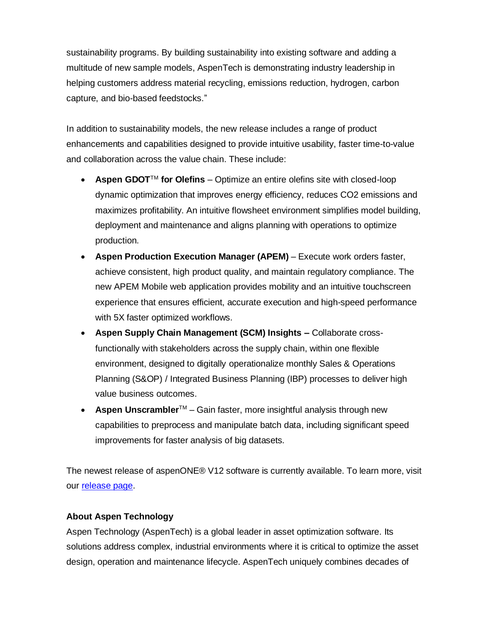sustainability programs. By building sustainability into existing software and adding a multitude of new sample models, AspenTech is demonstrating industry leadership in helping customers address material recycling, emissions reduction, hydrogen, carbon capture, and bio-based feedstocks."

In addition to sustainability models, the new release includes a range of product enhancements and capabilities designed to provide intuitive usability, faster time-to-value and collaboration across the value chain. These include:

- **Aspen GDOT**<sup>M</sup> for Olefins Optimize an entire olefins site with closed-loop dynamic optimization that improves energy efficiency, reduces CO2 emissions and maximizes profitability. An intuitive flowsheet environment simplifies model building, deployment and maintenance and aligns planning with operations to optimize production.
- **Aspen Production Execution Manager (APEM)** Execute work orders faster, achieve consistent, high product quality, and maintain regulatory compliance. The new APEM Mobile web application provides mobility and an intuitive touchscreen experience that ensures efficient, accurate execution and high-speed performance with 5X faster optimized workflows.
- **Aspen Supply Chain Management (SCM) Insights –** Collaborate crossfunctionally with stakeholders across the supply chain, within one flexible environment, designed to digitally operationalize monthly Sales & Operations Planning (S&OP) / Integrated Business Planning (IBP) processes to deliver high value business outcomes.
- **Aspen Unscrambler**TM Gain faster, more insightful analysis through new capabilities to preprocess and manipulate batch data, including significant speed improvements for faster analysis of big datasets.

The newest release of aspenONE® V12 software is currently available. To learn more, visit our [release page.](https://www.aspentech.com/products/V12-2-release/)

## **About Aspen Technology**

Aspen Technology (AspenTech) is a global leader in asset optimization software. Its solutions address complex, industrial environments where it is critical to optimize the asset design, operation and maintenance lifecycle. AspenTech uniquely combines decades of